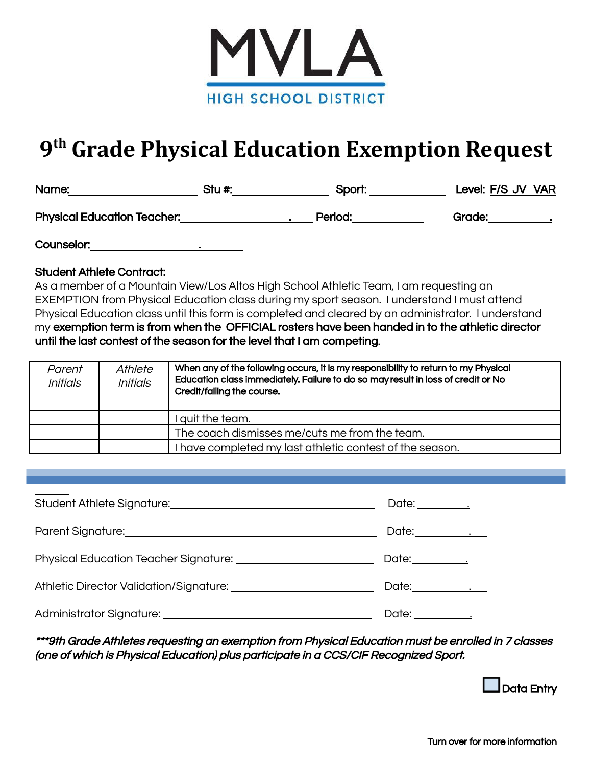

# **9 th Grade Physical Education Exemption Request**

| Name:                              | Stu #: | Sport:  | Level: F/S JV VAR |
|------------------------------------|--------|---------|-------------------|
| <b>Physical Education Teacher:</b> |        | Period: | Grade:            |

Counselor:

### Student Athlete Contract:

As a member of a Mountain View/Los Altos High School Athletic Team, I am requesting an EXEMPTION from Physical Education class during my sport season. I understand I must attend Physical Education class until this form is completed and cleared by an administrator. I understand my exemption term is from when the OFFICIAL rosters have been handed in to the athletic director until the last contest of the season for the level that I am competing.

| Parent<br><b>Initials</b> | Athlete<br><b>Initials</b> | When any of the following occurs, it is my responsibility to return to my Physical<br>Education class immediately. Failure to do so may result in loss of credit or No<br>Credit/failing the course. |
|---------------------------|----------------------------|------------------------------------------------------------------------------------------------------------------------------------------------------------------------------------------------------|
|                           |                            | quit the team.                                                                                                                                                                                       |
|                           |                            | The coach dismisses me/cuts me from the team.                                                                                                                                                        |
|                           |                            | I have completed my last athletic contest of the season.                                                                                                                                             |

| Date:________________    |
|--------------------------|
| Date:_______________     |
| Date:___________________ |
|                          |

\*\*\*9th Grade Athletes requesting an exemption from Physical Education must be enrolled in 7 classes (one of which is Physical Education) plus participate in <sup>a</sup> CCS/CIF Recognized Sport.

Data Entry